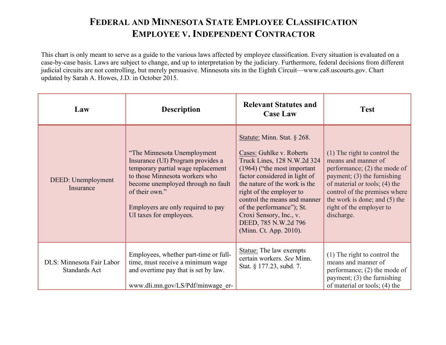## **FEDERAL AND MINNESOTA STATE EMPLOYEE CLASSIFICATION EMPLOYEE V. INDEPENDENT CONTRACTOR**

This chart is only meant to serve as a guide to the various laws affected by employee classification. Every situation is evaluated on a case-by-case basis. Laws are subject to change, and up to interpretation by the judiciary. Furthermore, federal decisions from different judicial circuits are not controlling, but merely persuasive. Minnesota sits in the Eighth Circuit—www.ca8.uscourts.gov. Chart updated by Sarah A. Howes, J.D. in October 2015.

| Law                                        | <b>Description</b>                                                                                                                                                                                                                                                | <b>Relevant Statutes and</b><br><b>Case Law</b>                                                                                                                                                                                                                                                                                                                   | <b>Test</b>                                                                                                                                                                                                                                                         |
|--------------------------------------------|-------------------------------------------------------------------------------------------------------------------------------------------------------------------------------------------------------------------------------------------------------------------|-------------------------------------------------------------------------------------------------------------------------------------------------------------------------------------------------------------------------------------------------------------------------------------------------------------------------------------------------------------------|---------------------------------------------------------------------------------------------------------------------------------------------------------------------------------------------------------------------------------------------------------------------|
| DEED: Unemployment<br>Insurance            | "The Minnesota Unemployment<br>Insurance (UI) Program provides a<br>temporary partial wage replacement<br>to those Minnesota workers who<br>become unemployed through no fault<br>of their own."<br>Employers are only required to pay<br>UI taxes for employees. | Statute: Minn. Stat. § 268.<br>Cases: Guhlke v. Roberts<br>Truck Lines, 128 N.W.2d 324<br>$(1964)$ ("the most important")<br>factor considered in light of<br>the nature of the work is the<br>right of the employer to<br>control the means and manner<br>of the performance"); St.<br>Croxi Sensory, Inc., v.<br>DEED, 785 N.W.2d 796<br>(Minn. Ct. App. 2010). | (1) The right to control the<br>means and manner of<br>performance; $(2)$ the mode of<br>payment; $(3)$ the furnishing<br>of material or tools; (4) the<br>control of the premises where<br>the work is done; and (5) the<br>right of the employer to<br>discharge. |
| DLS: Minnesota Fair Labor<br>Standards Act | Employees, whether part-time or full-<br>time, must receive a minimum wage<br>and overtime pay that is set by law.<br>www.dli.mn.gov/LS/Pdf/minwage er-                                                                                                           | Statue: The law exempts<br>certain workers. See Minn.<br>Stat. § 177.23, subd. 7.                                                                                                                                                                                                                                                                                 | (1) The right to control the<br>means and manner of<br>performance; $(2)$ the mode of<br>payment; $(3)$ the furnishing<br>of material or tools; (4) the                                                                                                             |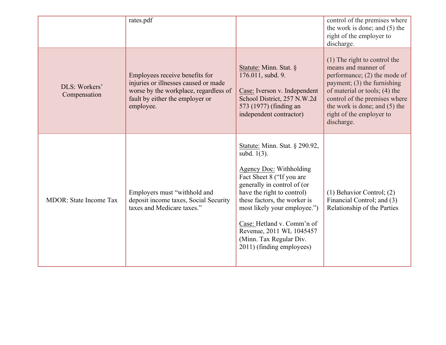|                               | rates.pdf                                                                                                                                                       |                                                                                                                                                                                                                                                                                                                                                             | control of the premises where<br>the work is done; and $(5)$ the<br>right of the employer to<br>discharge.                                                                                                                                                          |
|-------------------------------|-----------------------------------------------------------------------------------------------------------------------------------------------------------------|-------------------------------------------------------------------------------------------------------------------------------------------------------------------------------------------------------------------------------------------------------------------------------------------------------------------------------------------------------------|---------------------------------------------------------------------------------------------------------------------------------------------------------------------------------------------------------------------------------------------------------------------|
| DLS: Workers'<br>Compensation | Employees receive benefits for<br>injuries or illnesses caused or made<br>worse by the workplace, regardless of<br>fault by either the employer or<br>employee. | Statute: Minn. Stat. §<br>176.011, subd. 9.<br>Case: Iverson v. Independent<br>School District, 257 N.W.2d<br>573 (1977) (finding an<br>independent contractor)                                                                                                                                                                                             | (1) The right to control the<br>means and manner of<br>performance; $(2)$ the mode of<br>payment; (3) the furnishing<br>of material or tools; (4) the<br>control of the premises where<br>the work is done; and $(5)$ the<br>right of the employer to<br>discharge. |
| <b>MDOR:</b> State Income Tax | Employers must "withhold and<br>deposit income taxes, Social Security<br>taxes and Medicare taxes."                                                             | Statute: Minn. Stat. § 290.92,<br>subd. 1(3).<br><b>Agency Doc:</b> Withholding<br>Fact Sheet 8 ("If you are<br>generally in control of (or<br>have the right to control)<br>these factors, the worker is<br>most likely your employee.")<br>Case: Hetland v. Comm'n of<br>Revenue, 2011 WL 1045457<br>(Minn. Tax Regular Div.<br>2011) (finding employees) | $(1)$ Behavior Control; $(2)$<br>Financial Control; and (3)<br>Relationship of the Parties                                                                                                                                                                          |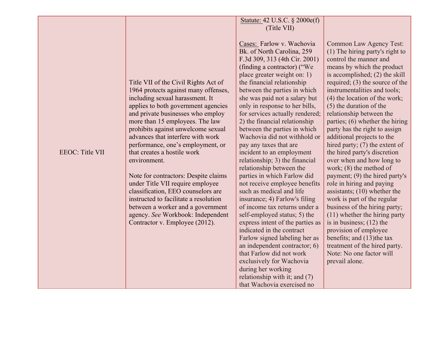|                        |                                                                                                                                                                                                                                                                                                                                                                                                                                                                                                                                                                                                                                                                      | Statute: 42 U.S.C. § 2000e(f)<br>(Title VII)                                                                                                                                                                                                                                                                                                                                                                                                                                                                                                                                                                                                                                                                                                                                                                                                                                                                                                                                                                                   |                                                                                                                                                                                                                                                                                                                                                                                                                                                                                                                                                                                                                                                                                                                                                                                                                                                                                                                           |
|------------------------|----------------------------------------------------------------------------------------------------------------------------------------------------------------------------------------------------------------------------------------------------------------------------------------------------------------------------------------------------------------------------------------------------------------------------------------------------------------------------------------------------------------------------------------------------------------------------------------------------------------------------------------------------------------------|--------------------------------------------------------------------------------------------------------------------------------------------------------------------------------------------------------------------------------------------------------------------------------------------------------------------------------------------------------------------------------------------------------------------------------------------------------------------------------------------------------------------------------------------------------------------------------------------------------------------------------------------------------------------------------------------------------------------------------------------------------------------------------------------------------------------------------------------------------------------------------------------------------------------------------------------------------------------------------------------------------------------------------|---------------------------------------------------------------------------------------------------------------------------------------------------------------------------------------------------------------------------------------------------------------------------------------------------------------------------------------------------------------------------------------------------------------------------------------------------------------------------------------------------------------------------------------------------------------------------------------------------------------------------------------------------------------------------------------------------------------------------------------------------------------------------------------------------------------------------------------------------------------------------------------------------------------------------|
| <b>EEOC:</b> Title VII | Title VII of the Civil Rights Act of<br>1964 protects against many offenses,<br>including sexual harassment. It<br>applies to both government agencies<br>and private businesses who employ<br>more than 15 employees. The law<br>prohibits against unwelcome sexual<br>advances that interfere with work<br>performance, one's employment, or<br>that creates a hostile work<br>environment.<br>Note for contractors: Despite claims<br>under Title VII require employee<br>classification, EEO counselors are<br>instructed to facilitate a resolution<br>between a worker and a government<br>agency. See Workbook: Independent<br>Contractor v. Employee (2012). | Cases: Farlow v. Wachovia<br>Bk. of North Carolina, 259<br>F.3d 309, 313 (4th Cir. 2001)<br>(finding a contractor) ("We<br>place greater weight on: 1)<br>the financial relationship<br>between the parties in which<br>she was paid not a salary but<br>only in response to her bills,<br>for services actually rendered;<br>2) the financial relationship<br>between the parties in which<br>Wachovia did not withhold or<br>pay any taxes that are<br>incident to an employment<br>relationship; 3) the financial<br>relationship between the<br>parties in which Farlow did<br>not receive employee benefits<br>such as medical and life<br>insurance; 4) Farlow's filing<br>of income tax returns under a<br>self-employed status; 5) the<br>express intent of the parties as<br>indicated in the contract<br>Farlow signed labeling her as<br>an independent contractor; 6)<br>that Farlow did not work<br>exclusively for Wachovia<br>during her working<br>relationship with it; and (7)<br>that Wachovia exercised no | Common Law Agency Test:<br>$(1)$ The hiring party's right to<br>control the manner and<br>means by which the product<br>is accomplished; (2) the skill<br>required; $(3)$ the source of the<br>instrumentalities and tools;<br>(4) the location of the work;<br>(5) the duration of the<br>relationship between the<br>parties; (6) whether the hiring<br>party has the right to assign<br>additional projects to the<br>hired party; $(7)$ the extent of<br>the hired party's discretion<br>over when and how long to<br>work; $(8)$ the method of<br>payment; (9) the hired party's<br>role in hiring and paying<br>assistants; $(10)$ whether the<br>work is part of the regular<br>business of the hiring party;<br>(11) whether the hiring party<br>is in business; $(12)$ the<br>provision of employee<br>benefits; and (13) the tax<br>treatment of the hired party.<br>Note: No one factor will<br>prevail alone. |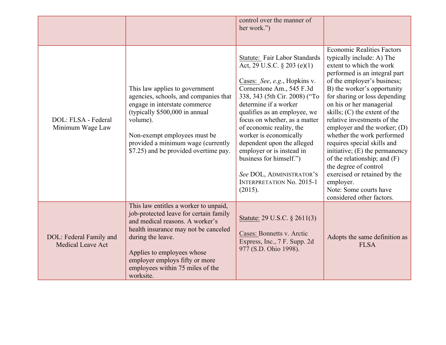|                                                     |                                                                                                                                                                                                                                                                                                  | control over the manner of<br>her work.")                                                                                                                                                                                                                                                                                                                                                                                                                                      |                                                                                                                                                                                                                                                                                                                                                                                                                                                                                                                                                                                                                          |
|-----------------------------------------------------|--------------------------------------------------------------------------------------------------------------------------------------------------------------------------------------------------------------------------------------------------------------------------------------------------|--------------------------------------------------------------------------------------------------------------------------------------------------------------------------------------------------------------------------------------------------------------------------------------------------------------------------------------------------------------------------------------------------------------------------------------------------------------------------------|--------------------------------------------------------------------------------------------------------------------------------------------------------------------------------------------------------------------------------------------------------------------------------------------------------------------------------------------------------------------------------------------------------------------------------------------------------------------------------------------------------------------------------------------------------------------------------------------------------------------------|
| DOL: FLSA - Federal<br>Minimum Wage Law             | This law applies to government<br>agencies, schools, and companies that<br>engage in interstate commerce<br>(typically \$500,000 in annual<br>volume).<br>Non-exempt employees must be<br>provided a minimum wage (currently<br>\$7.25) and be provided overtime pay.                            | Statute: Fair Labor Standards<br>Act, 29 U.S.C. $\S 203$ (e)(1)<br>Cases: See, e.g., Hopkins v.<br>Cornerstone Am., 545 F.3d<br>338, 343 (5th Cir. 2008) ("To<br>determine if a worker<br>qualifies as an employee, we<br>focus on whether, as a matter<br>of economic reality, the<br>worker is economically<br>dependent upon the alleged<br>employer or is instead in<br>business for himself.")<br>See DOL, ADMINISTRATOR'S<br><b>INTERPRETATION No. 2015-1</b><br>(2015). | <b>Economic Realities Factors</b><br>typically include: A) The<br>extent to which the work<br>performed is an integral part<br>of the employer's business;<br>B) the worker's opportunity<br>for sharing or loss depending<br>on his or her managerial<br>skills; $(C)$ the extent of the<br>relative investments of the<br>employer and the worker; (D)<br>whether the work performed<br>requires special skills and<br>initiative; $(E)$ the permanency<br>of the relationship; and $(F)$<br>the degree of control<br>exercised or retained by the<br>employer.<br>Note: Some courts have<br>considered other factors. |
| DOL: Federal Family and<br><b>Medical Leave Act</b> | This law entitles a worker to unpaid,<br>job-protected leave for certain family<br>and medical reasons. A worker's<br>health insurance may not be canceled<br>during the leave.<br>Applies to employees whose<br>employer employs fifty or more<br>employees within 75 miles of the<br>worksite. | Statute: 29 U.S.C. § 2611(3)<br>Cases: Bonnetts v. Arctic<br>Express, Inc., 7 F. Supp. 2d<br>977 (S.D. Ohio 1998).                                                                                                                                                                                                                                                                                                                                                             | Adopts the same definition as<br><b>FLSA</b>                                                                                                                                                                                                                                                                                                                                                                                                                                                                                                                                                                             |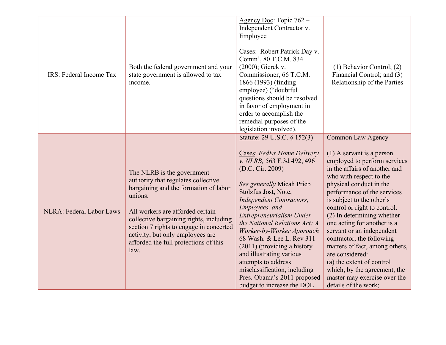| IRS: Federal Income Tax  | Both the federal government and your<br>state government is allowed to tax<br>income.                                                                                                                                                                                                                                                | Agency Doc: Topic 762 -<br>Independent Contractor v.<br>Employee<br>Cases: Robert Patrick Day v.<br>Comm', 80 T.C.M. 834<br>(2000); Gierek v.<br>Commissioner, 66 T.C.M.<br>1866 (1993) (finding<br>employee) ("doubtful<br>questions should be resolved<br>in favor of employment in<br>order to accomplish the<br>remedial purposes of the<br>legislation involved).                                                                                                                                                        | $(1)$ Behavior Control; $(2)$<br>Financial Control; and (3)<br>Relationship of the Parties                                                                                                                                                                                                                                                                                                                                                                                                                                                                           |
|--------------------------|--------------------------------------------------------------------------------------------------------------------------------------------------------------------------------------------------------------------------------------------------------------------------------------------------------------------------------------|-------------------------------------------------------------------------------------------------------------------------------------------------------------------------------------------------------------------------------------------------------------------------------------------------------------------------------------------------------------------------------------------------------------------------------------------------------------------------------------------------------------------------------|----------------------------------------------------------------------------------------------------------------------------------------------------------------------------------------------------------------------------------------------------------------------------------------------------------------------------------------------------------------------------------------------------------------------------------------------------------------------------------------------------------------------------------------------------------------------|
| NLRA: Federal Labor Laws | The NLRB is the government<br>authority that regulates collective<br>bargaining and the formation of labor<br>unions.<br>All workers are afforded certain<br>collective bargaining rights, including<br>section 7 rights to engage in concerted<br>activity, but only employees are<br>afforded the full protections of this<br>law. | Statute: 29 U.S.C. § 152(3)<br>Cases: FedEx Home Delivery<br>v. NLRB, 563 F.3d 492, 496<br>(D.C. Cir. 2009)<br>See generally Micah Prieb<br>Stolzfus Jost, Note,<br><b>Independent Contractors,</b><br>Employees, and<br>Entrepreneurialism Under<br>the National Relations Act: A<br>Worker-by-Worker Approach<br>68 Wash. & Lee L. Rev 311<br>$(2011)$ (providing a history<br>and illustrating various<br>attempts to address<br>misclassification, including<br>Pres. Obama's 2011 proposed<br>budget to increase the DOL | Common Law Agency<br>$(1)$ A servant is a person<br>employed to perform services<br>in the affairs of another and<br>who with respect to the<br>physical conduct in the<br>performance of the services<br>is subject to the other's<br>control or right to control.<br>(2) In determining whether<br>one acting for another is a<br>servant or an independent<br>contractor, the following<br>matters of fact, among others,<br>are considered:<br>(a) the extent of control<br>which, by the agreement, the<br>master may exercise over the<br>details of the work; |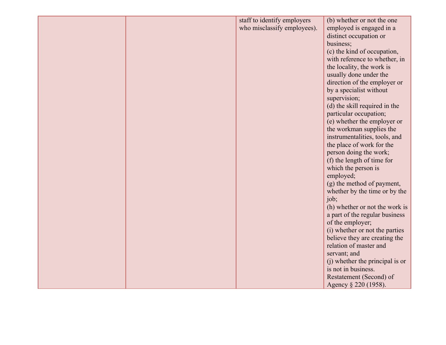|  | staff to identify employers | (b) whether or not the one      |
|--|-----------------------------|---------------------------------|
|  | who misclassify employees). | employed is engaged in a        |
|  |                             | distinct occupation or          |
|  |                             | business;                       |
|  |                             | (c) the kind of occupation,     |
|  |                             | with reference to whether, in   |
|  |                             | the locality, the work is       |
|  |                             | usually done under the          |
|  |                             | direction of the employer or    |
|  |                             | by a specialist without         |
|  |                             | supervision;                    |
|  |                             | (d) the skill required in the   |
|  |                             |                                 |
|  |                             | particular occupation;          |
|  |                             | (e) whether the employer or     |
|  |                             | the workman supplies the        |
|  |                             | instrumentalities, tools, and   |
|  |                             | the place of work for the       |
|  |                             | person doing the work;          |
|  |                             | (f) the length of time for      |
|  |                             | which the person is             |
|  |                             | employed;                       |
|  |                             | (g) the method of payment,      |
|  |                             | whether by the time or by the   |
|  |                             | job;                            |
|  |                             | (h) whether or not the work is  |
|  |                             | a part of the regular business  |
|  |                             | of the employer;                |
|  |                             | (i) whether or not the parties  |
|  |                             | believe they are creating the   |
|  |                             | relation of master and          |
|  |                             | servant; and                    |
|  |                             | (i) whether the principal is or |
|  |                             | is not in business.             |
|  |                             | Restatement (Second) of         |
|  |                             | Agency § 220 (1958).            |